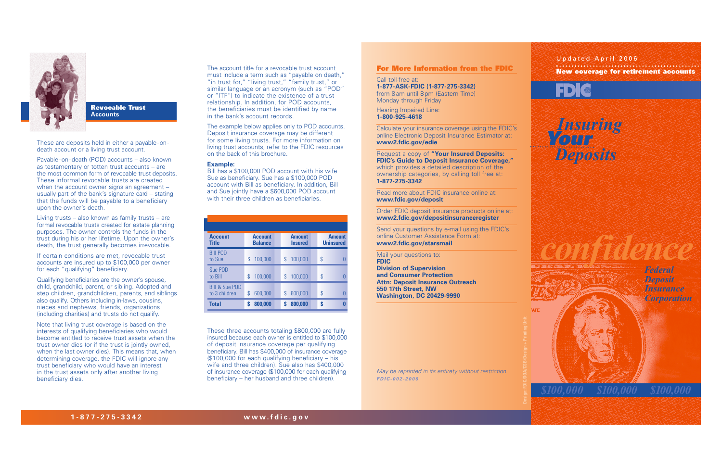The account title for a revocable trust account must include a term such as "payable on death," "in trust for," "living trust," "family trust," or similar language or an acronym (such as "POD" or "ITF") to indicate the existence of a trust relationship. In addition, for POD accounts, the beneficiaries must be identified by name in the bank's account records.

Bill has a \$100,000 POD account with his wife Sue as beneficiary. Sue has a \$100,000 POD account with Bill as beneficiary. In addition, Bill and Sue jointly have a \$600,000 POD account with their three children as beneficiaries.

The example below applies only to POD accounts. Deposit insurance coverage may be different for some living trusts. For more information on living trust accounts, refer to the FDIC resources on the back of this brochure.

#### **Example:**

These three accounts totaling \$800,000 are fully insured because each owner is entitled to \$100,000 of deposit insurance coverage per qualifying beneficiary. Bill has \$400,000 of insurance coverage (\$100,000 for each qualifying beneficiary – his wife and three children). Sue also has \$400,000 of insurance coverage (\$100,000 for each qualifying beneficiary – her husband and three children).



**Revocable Trust Accounts** 

These are deposits held in either a payable-ondeath account or a living trust account.

Payable-on-death (POD) accounts – also known as testamentary or totten trust accounts – are the most common form of revocable trust deposits. These informal revocable trusts are created when the account owner signs an agreement – usually part of the bank's signature card – stating that the funds will be payable to a beneficiary upon the owner's death.

Living trusts – also known as family trusts – are formal revocable trusts created for estate planning purposes. The owner controls the funds in the trust during his or her lifetime. Upon the owner's death, the trust generally becomes irrevocable.

If certain conditions are met, revocable trust accounts are insured up to \$100,000 per owner for each "qualifying" beneficiary.

Qualifying beneficiaries are the owner's spouse, child, grandchild, parent, or sibling. Adopted and step children, grandchildren, parents, and siblings also qualify. Others including in-laws, cousins, nieces and nephews, friends, organizations (including charities) and trusts do not qualify.

Note that living trust coverage is based on the interests of qualifying beneficiaries who would become entitled to receive trust assets when the trust owner dies (or if the trust is jointly owned, when the last owner dies). This means that, when determining coverage, the FDIC will ignore any trust beneficiary who would have an interest in the trust assets only after another living beneficiary dies.

#### **For More Information from the FDIC**

Call toll-free at: **1-877-ASK-FDIC (1-877-275-3342)**  from 8am until 8pm (Eastern Time) Monday through Friday

Hearing Impaired Line: **1-800-925-4618**

Calculate your insurance coverage using the FDIC's online Electronic Deposit Insurance Estimator at: **www2.fdic.gov/edie**

Request a copy of **"Your Insured Deposits: FDIC's Guide to Deposit Insurance Coverage,"** which provides a detailed description of the ownership categories, by calling toll free at: **1-877-275-3342**

Read more about FDIC insurance online at: **www.fdic.gov/deposit**

Order FDIC deposit insurance products online at: **www2.fdic.gov/depositinsuranceregister**

Send your questions by e-mail using the FDIC's online Customer Assistance Form at: **www2.fdic.gov/starsmail**

Mail your questions to: **FDIC Division of Supervision and Consumer Protection Attn: Deposit Insurance Outreach 550 17th Street, NW Washington, DC 20429-9990**

May be reprinted in its entirety without restriction. **FDIC-002-2006**

| <b>Account</b><br><b>Title</b>             | <b>Account</b><br><b>Balance</b> |         | <b>Amount</b><br><b>Insured</b> |  | <b>Amount</b><br><b>Uninsured</b> |  |
|--------------------------------------------|----------------------------------|---------|---------------------------------|--|-----------------------------------|--|
| <b>Bill POD</b><br>to Sue                  | \$                               | 100,000 | \$<br>100,000                   |  | \$                                |  |
| Sue POD<br>to Bill                         | \$                               | 100,000 | \$<br>100,000                   |  | \$                                |  |
| <b>Bill &amp; Sue POD</b><br>to 3 children | \$                               | 600,000 | \$<br>600,000                   |  | \$                                |  |
| <b>Total</b>                               | S                                | 800,000 | 800,000                         |  | S                                 |  |

*Federal Deposit Insurance Corporation*



*confidence*





*Insuring* **Your** *Deposits*

### Updated April 2006**New coverage for retirement accounts**